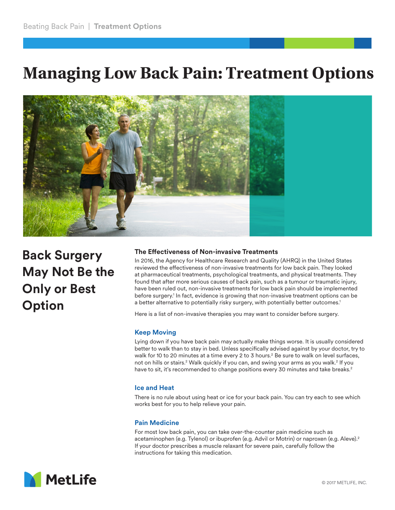# **Managing Low Back Pain: Treatment Options**



**Back Surgery May Not Be the Only or Best Option**

# **The Effectiveness of Non-invasive Treatments**

In 2016, the Agency for Healthcare Research and Quality (AHRQ) in the United States reviewed the effectiveness of non-invasive treatments for low back pain. They looked at pharmaceutical treatments, psychological treatments, and physical treatments. They found that after more serious causes of back pain, such as a tumour or traumatic injury, have been ruled out, non-invasive treatments for low back pain should be implemented before surgery.<sup>1</sup> In fact, evidence is growing that non-invasive treatment options can be a better alternative to potentially risky surgery, with potentially better outcomes.1

Here is a list of non-invasive therapies you may want to consider before surgery.

## **Keep Moving**

Lying down if you have back pain may actually make things worse. It is usually considered better to walk than to stay in bed. Unless specifically advised against by your doctor, try to walk for 10 to 20 minutes at a time every 2 to 3 hours.<sup>2</sup> Be sure to walk on level surfaces, not on hills or stairs.<sup>2</sup> Walk quickly if you can, and swing your arms as you walk.<sup>2</sup> If you have to sit, it's recommended to change positions every 30 minutes and take breaks.<sup>2</sup>

#### **Ice and Heat**

There is no rule about using heat or ice for your back pain. You can try each to see which works best for you to help relieve your pain.

# **Pain Medicine**

For most low back pain, you can take over-the-counter pain medicine such as acetaminophen (e.g. Tylenol) or ibuprofen (e.g. Advil or Motrin) or naproxen (e.g. Aleve).2 If your doctor prescribes a muscle relaxant for severe pain, carefully follow the instructions for taking this medication.